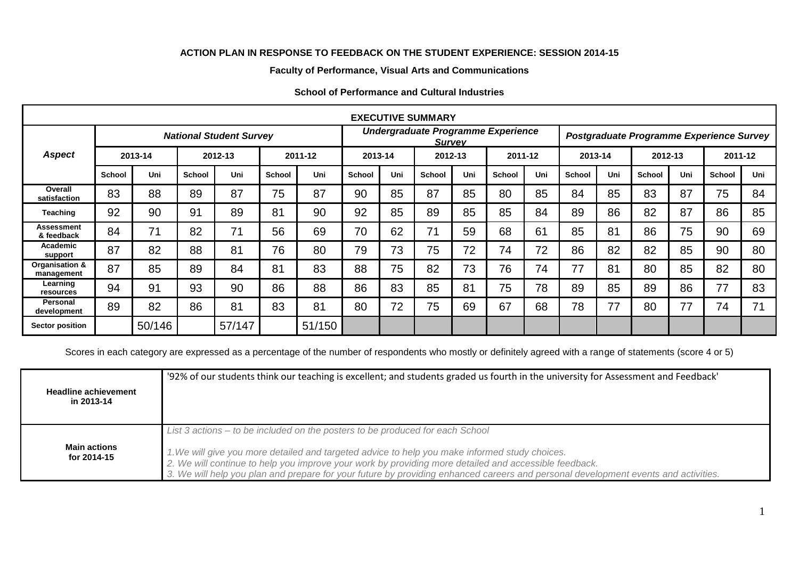## **ACTION PLAN IN RESPONSE TO FEEDBACK ON THE STUDENT EXPERIENCE: SESSION 2014-15**

## **Faculty of Performance, Visual Arts and Communications**

| <b>EXECUTIVE SUMMARY</b>        |                                |        |               |        |               |        |                                                     |     |               |     |         |     |                                          |     |               |     |               |     |
|---------------------------------|--------------------------------|--------|---------------|--------|---------------|--------|-----------------------------------------------------|-----|---------------|-----|---------|-----|------------------------------------------|-----|---------------|-----|---------------|-----|
|                                 | <b>National Student Survey</b> |        |               |        |               |        | Undergraduate Programme Experience<br><b>Survey</b> |     |               |     |         |     | Postgraduate Programme Experience Survey |     |               |     |               |     |
| <b>Aspect</b>                   | 2013-14                        |        | 2012-13       |        | 2011-12       |        | 2013-14                                             |     | 2012-13       |     | 2011-12 |     | 2013-14                                  |     | 2012-13       |     | 2011-12       |     |
|                                 | <b>School</b>                  | Uni    | <b>School</b> | Uni    | <b>School</b> | Uni    | <b>School</b>                                       | Uni | <b>School</b> | Uni | School  | Uni | <b>School</b>                            | Uni | <b>School</b> | Uni | <b>School</b> | Uni |
| Overall<br>satisfaction         | 83                             | 88     | 89            | 87     | 75            | 87     | 90                                                  | 85  | 87            | 85  | 80      | 85  | 84                                       | 85  | 83            | 87  | 75            | 84  |
| <b>Teaching</b>                 | 92                             | 90     | 91            | 89     | 81            | 90     | 92                                                  | 85  | 89            | 85  | 85      | 84  | 89                                       | 86  | 82            | 87  | 86            | 85  |
| <b>Assessment</b><br>& feedback | 84                             | 71     | 82            | 71     | 56            | 69     | 70                                                  | 62  | 71            | 59  | 68      | 61  | 85                                       | 81  | 86            | 75  | 90            | 69  |
| Academic<br>support             | 87                             | 82     | 88            | 81     | 76            | 80     | 79                                                  | 73  | 75            | 72  | 74      | 72  | 86                                       | 82  | 82            | 85  | 90            | 80  |
| Organisation &<br>management    | 87                             | 85     | 89            | 84     | 81            | 83     | 88                                                  | 75  | 82            | 73  | 76      | 74  | 77                                       | 81  | 80            | 85  | 82            | 80  |
| Learning<br>resources           | 94                             | 91     | 93            | 90     | 86            | 88     | 86                                                  | 83  | 85            | 81  | 75      | 78  | 89                                       | 85  | 89            | 86  | 77            | 83  |
| Personal<br>development         | 89                             | 82     | 86            | 81     | 83            | 81     | 80                                                  | 72  | 75            | 69  | 67      | 68  | 78                                       | 77  | 80            | 77  | 74            | 71  |
| <b>Sector position</b>          |                                | 50/146 |               | 57/147 |               | 51/150 |                                                     |     |               |     |         |     |                                          |     |               |     |               |     |

## **School of Performance and Cultural Industries**

Scores in each category are expressed as a percentage of the number of respondents who mostly or definitely agreed with a range of statements (score 4 or 5)

| <b>Headline achievement</b><br>in 2013-14 | '92% of our students think our teaching is excellent; and students graded us fourth in the university for Assessment and Feedback'                                                                                                                                                                                                                                                                                             |
|-------------------------------------------|--------------------------------------------------------------------------------------------------------------------------------------------------------------------------------------------------------------------------------------------------------------------------------------------------------------------------------------------------------------------------------------------------------------------------------|
| <b>Main actions</b><br>for 2014-15        | List 3 actions – to be included on the posters to be produced for each School<br>1. We will give you more detailed and targeted advice to help you make informed study choices.<br>2. We will continue to help you improve your work by providing more detailed and accessible feedback.<br>3. We will help you plan and prepare for your future by providing enhanced careers and personal development events and activities. |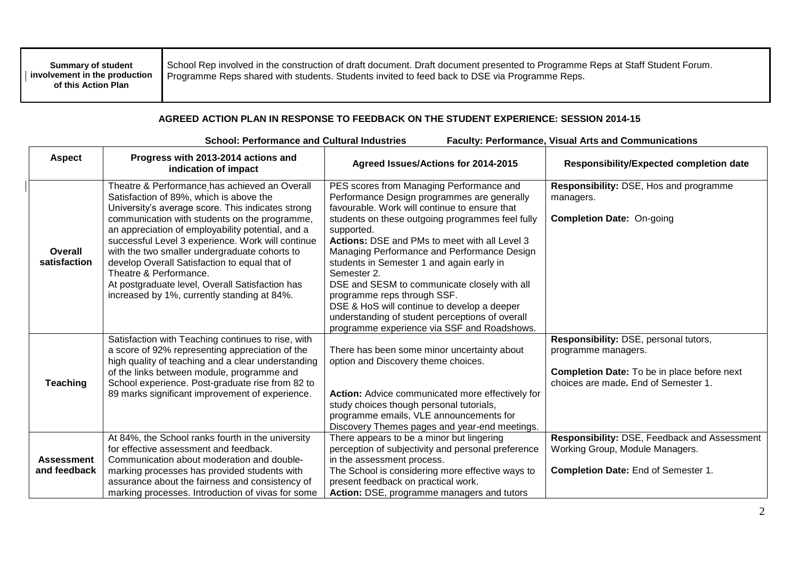| <b>Summary of student</b><br>I involvement in the production<br>of this Action Plan | School Rep involved in the construction of draft document. Draft document presented to Programme Reps at Staff Student Forum.<br>Programme Reps shared with students. Students invited to feed back to DSE via Programme Reps. |
|-------------------------------------------------------------------------------------|--------------------------------------------------------------------------------------------------------------------------------------------------------------------------------------------------------------------------------|
|-------------------------------------------------------------------------------------|--------------------------------------------------------------------------------------------------------------------------------------------------------------------------------------------------------------------------------|

┱

## **AGREED ACTION PLAN IN RESPONSE TO FEEDBACK ON THE STUDENT EXPERIENCE: SESSION 2014-15**

| <b>School: Performance and Cultural Industries</b><br><b>Faculty: Performance, Visual Arts and Communications</b> |                                                                                                                                                                                                                                                                                                                                                                                                                                                                                                                                        |                                                                                                                                                                                                                                                                                                                                                                                                                                                                                                                                                                                                        |                                                                                                                                                            |  |  |  |  |
|-------------------------------------------------------------------------------------------------------------------|----------------------------------------------------------------------------------------------------------------------------------------------------------------------------------------------------------------------------------------------------------------------------------------------------------------------------------------------------------------------------------------------------------------------------------------------------------------------------------------------------------------------------------------|--------------------------------------------------------------------------------------------------------------------------------------------------------------------------------------------------------------------------------------------------------------------------------------------------------------------------------------------------------------------------------------------------------------------------------------------------------------------------------------------------------------------------------------------------------------------------------------------------------|------------------------------------------------------------------------------------------------------------------------------------------------------------|--|--|--|--|
| <b>Aspect</b>                                                                                                     | Progress with 2013-2014 actions and<br>indication of impact                                                                                                                                                                                                                                                                                                                                                                                                                                                                            | Agreed Issues/Actions for 2014-2015                                                                                                                                                                                                                                                                                                                                                                                                                                                                                                                                                                    | <b>Responsibility/Expected completion date</b>                                                                                                             |  |  |  |  |
| Overall<br>satisfaction                                                                                           | Theatre & Performance has achieved an Overall<br>Satisfaction of 89%, which is above the<br>University's average score. This indicates strong<br>communication with students on the programme,<br>an appreciation of employability potential, and a<br>successful Level 3 experience. Work will continue<br>with the two smaller undergraduate cohorts to<br>develop Overall Satisfaction to equal that of<br>Theatre & Performance.<br>At postgraduate level, Overall Satisfaction has<br>increased by 1%, currently standing at 84%. | PES scores from Managing Performance and<br>Performance Design programmes are generally<br>favourable. Work will continue to ensure that<br>students on these outgoing programmes feel fully<br>supported.<br>Actions: DSE and PMs to meet with all Level 3<br>Managing Performance and Performance Design<br>students in Semester 1 and again early in<br>Semester 2.<br>DSE and SESM to communicate closely with all<br>programme reps through SSF.<br>DSE & HoS will continue to develop a deeper<br>understanding of student perceptions of overall<br>programme experience via SSF and Roadshows. | Responsibility: DSE, Hos and programme<br>managers.<br><b>Completion Date: On-going</b>                                                                    |  |  |  |  |
| <b>Teaching</b>                                                                                                   | Satisfaction with Teaching continues to rise, with<br>a score of 92% representing appreciation of the<br>high quality of teaching and a clear understanding<br>of the links between module, programme and<br>School experience. Post-graduate rise from 82 to<br>89 marks significant improvement of experience.                                                                                                                                                                                                                       | There has been some minor uncertainty about<br>option and Discovery theme choices.<br>Action: Advice communicated more effectively for<br>study choices though personal tutorials,<br>programme emails, VLE announcements for<br>Discovery Themes pages and year-end meetings.                                                                                                                                                                                                                                                                                                                         | Responsibility: DSE, personal tutors,<br>programme managers.<br><b>Completion Date:</b> To be in place before next<br>choices are made. End of Semester 1. |  |  |  |  |
| <b>Assessment</b><br>and feedback                                                                                 | At 84%, the School ranks fourth in the university<br>for effective assessment and feedback.<br>Communication about moderation and double-<br>marking processes has provided students with<br>assurance about the fairness and consistency of<br>marking processes. Introduction of vivas for some                                                                                                                                                                                                                                      | There appears to be a minor but lingering<br>perception of subjectivity and personal preference<br>in the assessment process.<br>The School is considering more effective ways to<br>present feedback on practical work.<br>Action: DSE, programme managers and tutors                                                                                                                                                                                                                                                                                                                                 | Responsibility: DSE, Feedback and Assessment<br>Working Group, Module Managers.<br>Completion Date: End of Semester 1.                                     |  |  |  |  |